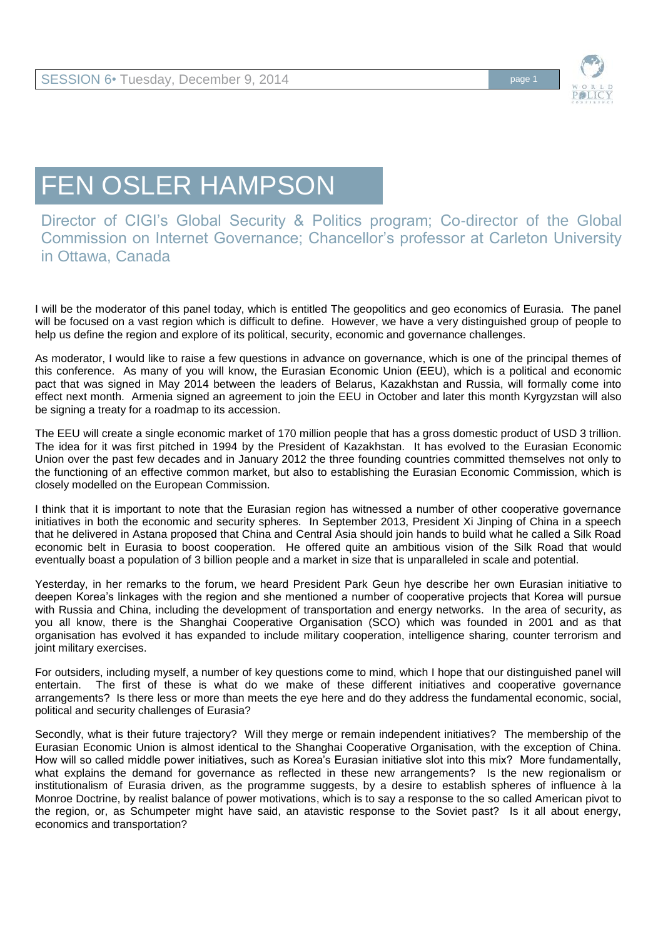

## FEN OSLER HAMPSON

Director of CIGI's Global Security & Politics program; Co-director of the Global Commission on Internet Governance; Chancellor's professor at Carleton University in Ottawa, Canada

I will be the moderator of this panel today, which is entitled The geopolitics and geo economics of Eurasia. The panel will be focused on a vast region which is difficult to define. However, we have a very distinguished group of people to help us define the region and explore of its political, security, economic and governance challenges.

As moderator, I would like to raise a few questions in advance on governance, which is one of the principal themes of this conference. As many of you will know, the Eurasian Economic Union (EEU), which is a political and economic pact that was signed in May 2014 between the leaders of Belarus, Kazakhstan and Russia, will formally come into effect next month. Armenia signed an agreement to join the EEU in October and later this month Kyrgyzstan will also be signing a treaty for a roadmap to its accession.

The EEU will create a single economic market of 170 million people that has a gross domestic product of USD 3 trillion. The idea for it was first pitched in 1994 by the President of Kazakhstan. It has evolved to the Eurasian Economic Union over the past few decades and in January 2012 the three founding countries committed themselves not only to the functioning of an effective common market, but also to establishing the Eurasian Economic Commission, which is closely modelled on the European Commission.

I think that it is important to note that the Eurasian region has witnessed a number of other cooperative governance initiatives in both the economic and security spheres. In September 2013, President Xi Jinping of China in a speech that he delivered in Astana proposed that China and Central Asia should join hands to build what he called a Silk Road economic belt in Eurasia to boost cooperation. He offered quite an ambitious vision of the Silk Road that would eventually boast a population of 3 billion people and a market in size that is unparalleled in scale and potential.

Yesterday, in her remarks to the forum, we heard President Park Geun hye describe her own Eurasian initiative to deepen Korea's linkages with the region and she mentioned a number of cooperative projects that Korea will pursue with Russia and China, including the development of transportation and energy networks. In the area of security, as you all know, there is the Shanghai Cooperative Organisation (SCO) which was founded in 2001 and as that organisation has evolved it has expanded to include military cooperation, intelligence sharing, counter terrorism and joint military exercises.

For outsiders, including myself, a number of key questions come to mind, which I hope that our distinguished panel will entertain. The first of these is what do we make of these different initiatives and cooperative governance arrangements? Is there less or more than meets the eye here and do they address the fundamental economic, social, political and security challenges of Eurasia?

Secondly, what is their future trajectory? Will they merge or remain independent initiatives? The membership of the Eurasian Economic Union is almost identical to the Shanghai Cooperative Organisation, with the exception of China. How will so called middle power initiatives, such as Korea's Eurasian initiative slot into this mix? More fundamentally, what explains the demand for governance as reflected in these new arrangements? Is the new regionalism or institutionalism of Eurasia driven, as the programme suggests, by a desire to establish spheres of influence à la Monroe Doctrine, by realist balance of power motivations, which is to say a response to the so called American pivot to the region, or, as Schumpeter might have said, an atavistic response to the Soviet past? Is it all about energy, economics and transportation?